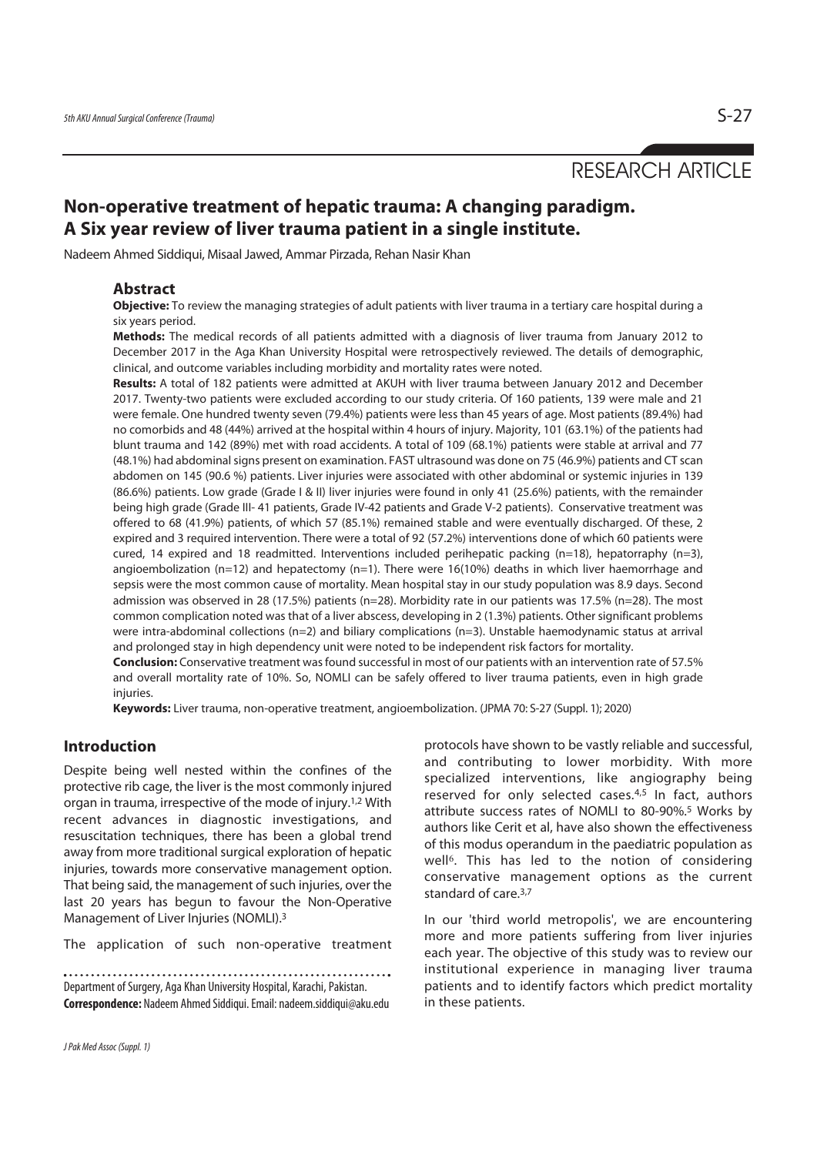RESEARCH ARTICLE

# **Non-operative treatment of hepatic trauma: A changing paradigm. A Six year review of liver trauma patient in a single institute.**

Nadeem Ahmed Siddiqui, Misaal Jawed, Ammar Pirzada, Rehan Nasir Khan

#### **Abstract**

**Objective:** To review the managing strategies of adult patients with liver trauma in a tertiary care hospital during a six years period.

**Methods:** The medical records of all patients admitted with a diagnosis of liver trauma from January 2012 to December 2017 in the Aga Khan University Hospital were retrospectively reviewed. The details of demographic, clinical, and outcome variables including morbidity and mortality rates were noted.

**Results:** A total of 182 patients were admitted at AKUH with liver trauma between January 2012 and December 2017. Twenty-two patients were excluded according to our study criteria. Of 160 patients, 139 were male and 21 were female. One hundred twenty seven (79.4%) patients were less than 45 years of age. Most patients (89.4%) had no comorbids and 48 (44%) arrived at the hospital within 4 hours of injury. Majority, 101 (63.1%) of the patients had blunt trauma and 142 (89%) met with road accidents. A total of 109 (68.1%) patients were stable at arrival and 77 (48.1%) had abdominal signs present on examination. FAST ultrasound was done on 75 (46.9%) patients and CT scan abdomen on 145 (90.6 %) patients. Liver injuries were associated with other abdominal or systemic injuries in 139 (86.6%) patients. Low grade (Grade I & II) liver injuries were found in only 41 (25.6%) patients, with the remainder being high grade (Grade III- 41 patients, Grade IV-42 patients and Grade V-2 patients). Conservative treatment was offered to 68 (41.9%) patients, of which 57 (85.1%) remained stable and were eventually discharged. Of these, 2 expired and 3 required intervention. There were a total of 92 (57.2%) interventions done of which 60 patients were cured, 14 expired and 18 readmitted. Interventions included perihepatic packing (n=18), hepatorraphy (n=3), angioembolization ( $n=12$ ) and hepatectomy ( $n=1$ ). There were 16(10%) deaths in which liver haemorrhage and sepsis were the most common cause of mortality. Mean hospital stay in our study population was 8.9 days. Second admission was observed in 28 (17.5%) patients (n=28). Morbidity rate in our patients was 17.5% (n=28). The most common complication noted was that of a liver abscess, developing in 2 (1.3%) patients. Other significant problems were intra-abdominal collections (n=2) and biliary complications (n=3). Unstable haemodynamic status at arrival and prolonged stay in high dependency unit were noted to be independent risk factors for mortality.

**Conclusion:** Conservative treatment was found successful in most of our patients with an intervention rate of 57.5% and overall mortality rate of 10%. So, NOMLI can be safely offered to liver trauma patients, even in high grade injuries.

**Keywords:** Liver trauma, non-operative treatment, angioembolization. (JPMA 70: S-27 (Suppl. 1); 2020)

# **Introduction**

Despite being well nested within the confines of the protective rib cage, the liver is the most commonly injured organ in trauma, irrespective of the mode of injury.1,2 With recent advances in diagnostic investigations, and resuscitation techniques, there has been a global trend away from more traditional surgical exploration of hepatic injuries, towards more conservative management option. That being said, the management of such injuries, over the last 20 years has begun to favour the Non-Operative Management of Liver Injuries (NOMLI).3

The application of such non-operative treatment

Department of Surgery, Aga Khan University Hospital, Karachi, Pakistan. **Correspondence:** Nadeem Ahmed Siddiqui. Email: nadeem.siddiqui@aku.edu protocols have shown to be vastly reliable and successful, and contributing to lower morbidity. With more specialized interventions, like angiography being reserved for only selected cases.<sup>4,5</sup> In fact, authors attribute success rates of NOMLI to 80-90%.5 Works by authors like Cerit et al, have also shown the effectiveness of this modus operandum in the paediatric population as well<sup>6</sup>. This has led to the notion of considering conservative management options as the current standard of care.3,7

In our 'third world metropolis', we are encountering more and more patients suffering from liver injuries each year. The objective of this study was to review our institutional experience in managing liver trauma patients and to identify factors which predict mortality in these patients.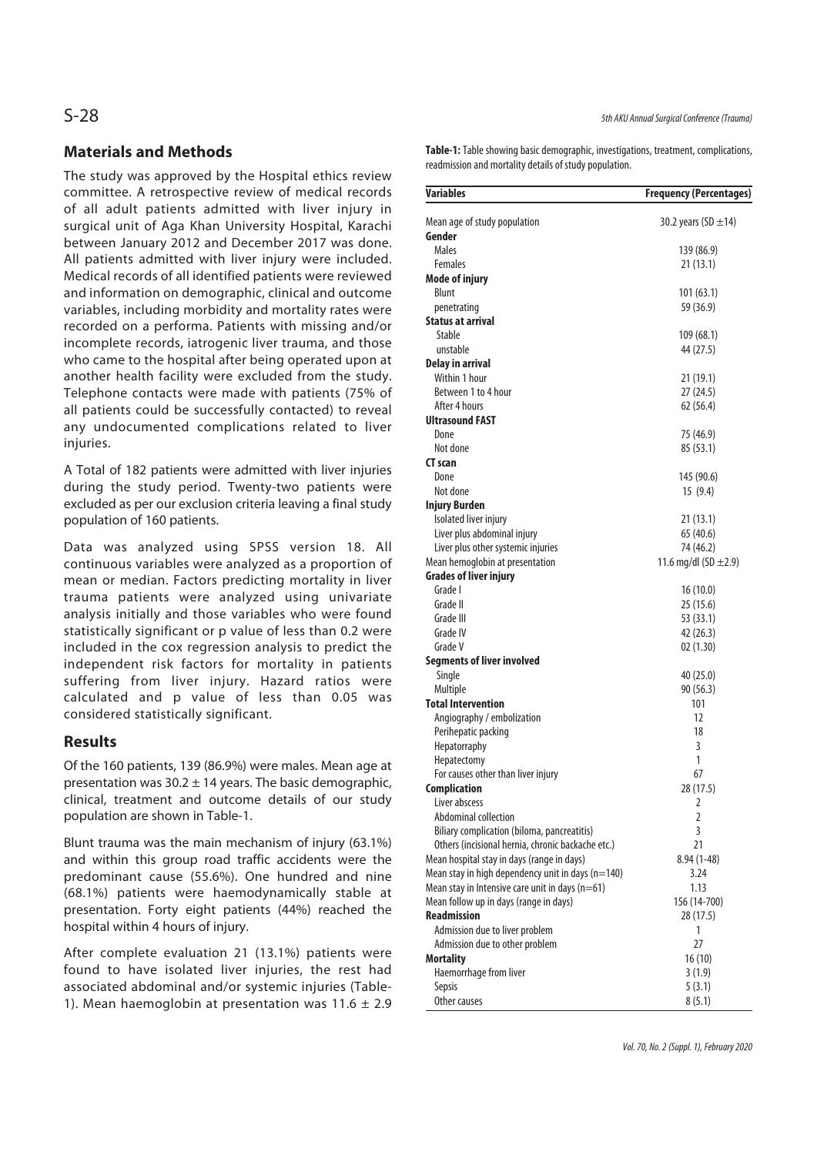# **Materials and Methods**

The study was approved by the Hospital ethics review committee. A retrospective review of medical records of all adult patients admitted with liver injury in surgical unit of Aga Khan University Hospital, Karachi between January 2012 and December 2017 was done. All patients admitted with liver injury were included. Medical records of all identified patients were reviewed and information on demographic, clinical and outcome variables, including morbidity and mortality rates were recorded on a performa. Patients with missing and/or incomplete records, iatrogenic liver trauma, and those who came to the hospital after being operated upon at another health facility were excluded from the study. Telephone contacts were made with patients (75% of all patients could be successfully contacted) to reveal any undocumented complications related to liver injuries.

A Total of 182 patients were admitted with liver injuries during the study period. Twenty-two patients were excluded as per our exclusion criteria leaving a final study population of 160 patients.

Data was analyzed using SPSS version 18. All continuous variables were analyzed as a proportion of mean or median. Factors predicting mortality in liver trauma patients were analyzed using univariate analysis initially and those variables who were found statistically significant or p value of less than 0.2 were included in the cox regression analysis to predict the independent risk factors for mortality in patients suffering from liver injury. Hazard ratios were calculated and p value of less than 0.05 was considered statistically significant.

### **Results**

Of the 160 patients, 139 (86.9%) were males. Mean age at presentation was  $30.2 \pm 14$  years. The basic demographic, clinical, treatment and outcome details of our study population are shown in Table-1.

Blunt trauma was the main mechanism of injury (63.1%) and within this group road traffic accidents were the predominant cause (55.6%). One hundred and nine (68.1%) patients were haemodynamically stable at presentation. Forty eight patients (44%) reached the hospital within 4 hours of injury.

After complete evaluation 21 (13.1%) patients were found to have isolated liver injuries, the rest had associated abdominal and/or systemic injuries (Table-1). Mean haemoglobin at presentation was  $11.6 \pm 2.9$  **Table-1:** Table showing basic demographic, investigations, treatment, complications, readmission and mortality details of study population.

| <b>Variables</b>                                  | <b>Frequency (Percentages)</b> |
|---------------------------------------------------|--------------------------------|
| Mean age of study population                      | 30.2 years (SD $\pm$ 14)       |
| Gender                                            |                                |
| Males                                             | 139 (86.9)                     |
| <b>Females</b>                                    | 21 (13.1)                      |
| <b>Mode of injury</b>                             |                                |
| Blunt                                             | 101(63.1)                      |
| penetrating                                       | 59 (36.9)                      |
| <b>Status at arrival</b>                          |                                |
| Stable                                            | 109(68.1)                      |
| unstable                                          | 44 (27.5)                      |
| <b>Delay in arrival</b>                           |                                |
| Within 1 hour                                     | 21 (19.1)                      |
| Between 1 to 4 hour                               | 27 (24.5)                      |
| After 4 hours                                     | 62 (56.4)                      |
| <b>Ultrasound FAST</b>                            |                                |
| Done                                              | 75 (46.9)                      |
| Not done                                          | 85 (53.1)                      |
| <b>CT</b> scan                                    |                                |
| Done                                              | 145 (90.6)                     |
| Not done                                          | 15 (9.4)                       |
| <b>Injury Burden</b>                              |                                |
| Isolated liver injury                             | 21 (13.1)                      |
| Liver plus abdominal injury                       | 65 (40.6)                      |
| Liver plus other systemic injuries                | 74 (46.2)                      |
| Mean hemoglobin at presentation                   | 11.6 mg/dl (SD $\pm$ 2.9)      |
| <b>Grades of liver injury</b>                     |                                |
| Grade I                                           | 16(10.0)                       |
| Grade II                                          | 25 (15.6)                      |
| Grade III                                         | 53 (33.1)                      |
| Grade IV                                          | 42 (26.3)                      |
| Grade V                                           | 02 (1.30)                      |
| <b>Segments of liver involved</b>                 |                                |
| Single                                            | 40 (25.0)                      |
| Multiple                                          | 90 (56.3)                      |
| <b>Total Intervention</b>                         | 101                            |
| Angiography / embolization                        | 12                             |
| Perihepatic packing                               | 18                             |
| Hepatorraphy                                      | 3                              |
| Hepatectomy                                       | 1                              |
| For causes other than liver injury                | 67                             |
| <b>Complication</b>                               | 28 (17.5)                      |
| Liver abscess                                     | 2                              |
| Abdominal collection                              | $\overline{2}$                 |
| Biliary complication (biloma, pancreatitis)       | 3                              |
| Others (incisional hernia, chronic backache etc.) | 21                             |
| Mean hospital stay in days (range in days)        | $8.94(1-48)$                   |
| Mean stay in high dependency unit in days (n=140) | 3.24                           |
| Mean stay in Intensive care unit in days $(n=61)$ | 1.13                           |
| Mean follow up in days (range in days)            | 156 (14-700)                   |
| <b>Readmission</b>                                | 28 (17.5)                      |
| Admission due to liver problem                    | 1                              |
| Admission due to other problem                    | 27                             |
| <b>Mortality</b>                                  | 16(10)                         |
| Haemorrhage from liver                            | 3(1.9)                         |
| Sepsis                                            | 5(3.1)                         |
| Other causes                                      | 8(5.1)                         |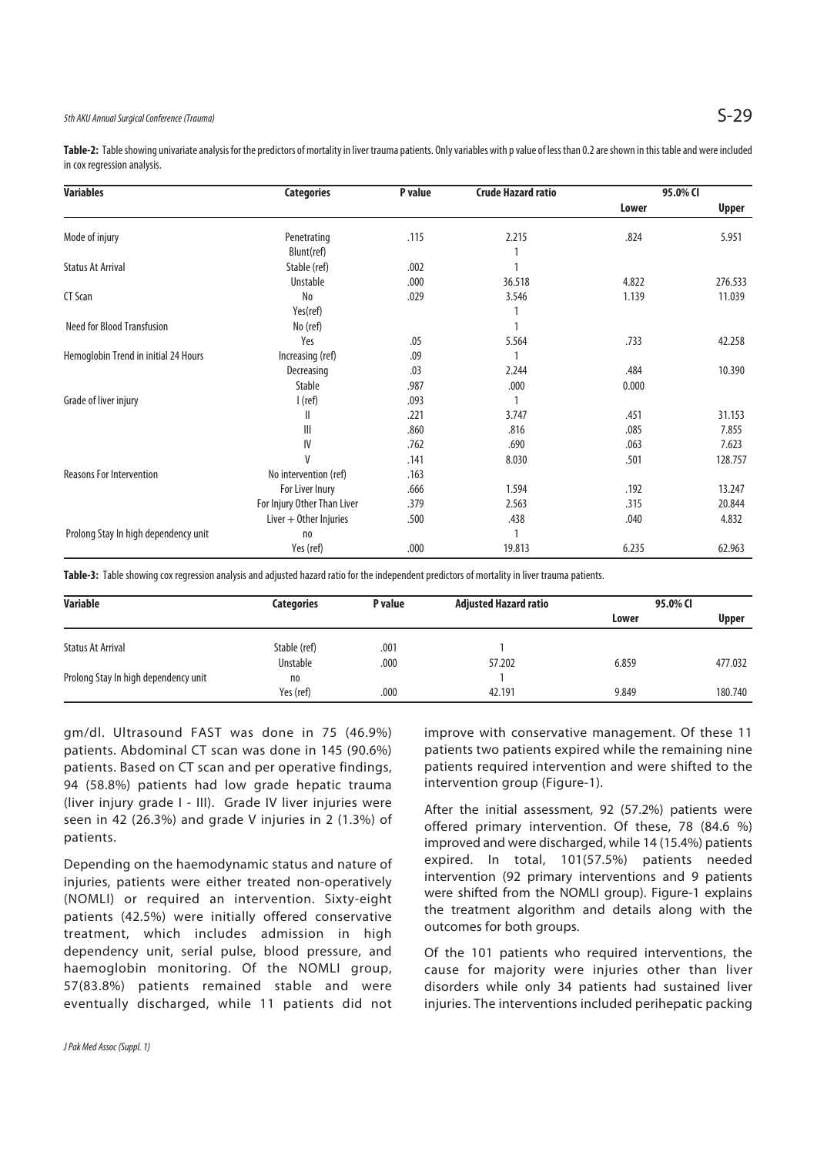**Table-2:** Table showing univariate analysis for the predictors of mortality in liver trauma patients. Only variables with p value of less than 0.2 are shown in this table and were included in cox regression analysis.

| <b>Variables</b>                     | <b>Categories</b>           | P value | <b>Crude Hazard ratio</b> | 95.0% CI |         |
|--------------------------------------|-----------------------------|---------|---------------------------|----------|---------|
|                                      |                             |         |                           | Lower    | Upper   |
| Mode of injury                       | Penetrating                 | .115    | 2.215                     | .824     | 5.951   |
|                                      | Blunt(ref)                  |         |                           |          |         |
| <b>Status At Arrival</b>             | Stable (ref)                | .002    |                           |          |         |
|                                      | Unstable                    | .000    | 36.518                    | 4.822    | 276.533 |
| CT Scan                              | N <sub>o</sub>              | .029    | 3.546                     | 1.139    | 11.039  |
|                                      | Yes(ref)                    |         |                           |          |         |
| <b>Need for Blood Transfusion</b>    | No (ref)                    |         |                           |          |         |
|                                      | Yes                         | .05     | 5.564                     | .733     | 42.258  |
| Hemoglobin Trend in initial 24 Hours | Increasing (ref)            | .09     |                           |          |         |
|                                      | Decreasing                  | .03     | 2.244                     | .484     | 10.390  |
|                                      | <b>Stable</b>               | .987    | .000                      | 0.000    |         |
| Grade of liver injury                | I (ref)                     | .093    |                           |          |         |
|                                      | Ш                           | .221    | 3.747                     | .451     | 31.153  |
|                                      | Ш                           | .860    | .816                      | .085     | 7.855   |
|                                      | IV                          | .762    | .690                      | .063     | 7.623   |
|                                      | V                           | .141    | 8.030                     | .501     | 128.757 |
| <b>Reasons For Intervention</b>      | No intervention (ref)       | .163    |                           |          |         |
|                                      | For Liver Inury             | .666    | 1.594                     | .192     | 13.247  |
|                                      | For Injury Other Than Liver | .379    | 2.563                     | .315     | 20.844  |
|                                      | Liver $+$ Other Injuries    | .500    | .438                      | .040     | 4.832   |
| Prolong Stay In high dependency unit | no                          |         |                           |          |         |
|                                      | Yes (ref)                   | .000    | 19.813                    | 6.235    | 62.963  |

**Table-3:** Table showing cox regression analysis and adjusted hazard ratio for the independent predictors of mortality in liver trauma patients.

| <b>Variable</b>                      | <b>Categories</b> | P value | <b>Adjusted Hazard ratio</b> | 95.0% CI |              |
|--------------------------------------|-------------------|---------|------------------------------|----------|--------------|
|                                      |                   |         |                              | Lower    | <b>Upper</b> |
| <b>Status At Arrival</b>             | Stable (ref)      | .001    |                              |          |              |
|                                      | Unstable          | .000    | 57.202                       | 6.859    | 477.032      |
| Prolong Stay In high dependency unit | no                |         |                              |          |              |
|                                      | Yes (ref)         | .000    | 42.191                       | 9.849    | 180.740      |

gm/dl. Ultrasound FAST was done in 75 (46.9%) patients. Abdominal CT scan was done in 145 (90.6%) patients. Based on CT scan and per operative findings, 94 (58.8%) patients had low grade hepatic trauma (liver injury grade I - III). Grade IV liver injuries were seen in 42 (26.3%) and grade V injuries in 2 (1.3%) of patients.

Depending on the haemodynamic status and nature of injuries, patients were either treated non-operatively (NOMLI) or required an intervention. Sixty-eight patients (42.5%) were initially offered conservative treatment, which includes admission in high dependency unit, serial pulse, blood pressure, and haemoglobin monitoring. Of the NOMLI group, 57(83.8%) patients remained stable and were eventually discharged, while 11 patients did not

improve with conservative management. Of these 11 patients two patients expired while the remaining nine patients required intervention and were shifted to the intervention group (Figure-1).

After the initial assessment, 92 (57.2%) patients were offered primary intervention. Of these, 78 (84.6 %) improved and were discharged, while 14 (15.4%) patients expired. In total, 101(57.5%) patients needed intervention (92 primary interventions and 9 patients were shifted from the NOMLI group). Figure-1 explains the treatment algorithm and details along with the outcomes for both groups.

Of the 101 patients who required interventions, the cause for majority were injuries other than liver disorders while only 34 patients had sustained liver injuries. The interventions included perihepatic packing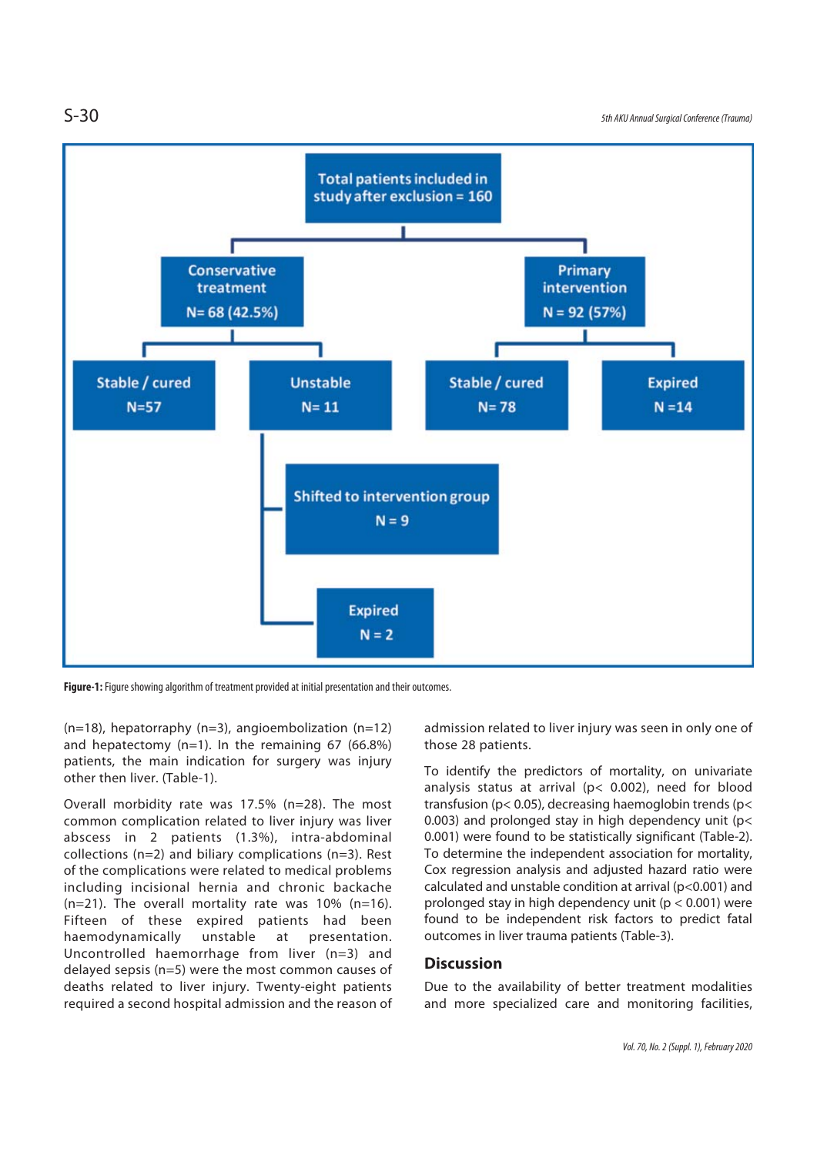S-30 5th AKU Annual Surgical Conference (Trauma)



**Figure-1:** Figure showing algorithm of treatment provided at initial presentation and their outcomes.

(n=18), hepatorraphy (n=3), angioembolization (n=12) and hepatectomy (n=1). In the remaining 67 (66.8%) patients, the main indication for surgery was injury other then liver. (Table-1).

Overall morbidity rate was 17.5% (n=28). The most common complication related to liver injury was liver abscess in 2 patients (1.3%), intra-abdominal collections (n=2) and biliary complications (n=3). Rest of the complications were related to medical problems including incisional hernia and chronic backache  $(n=21)$ . The overall mortality rate was 10%  $(n=16)$ . Fifteen of these expired patients had been haemodynamically unstable at presentation. Uncontrolled haemorrhage from liver (n=3) and delayed sepsis (n=5) were the most common causes of deaths related to liver injury. Twenty-eight patients required a second hospital admission and the reason of

admission related to liver injury was seen in only one of those 28 patients.

To identify the predictors of mortality, on univariate analysis status at arrival (p< 0.002), need for blood transfusion (p< 0.05), decreasing haemoglobin trends (p< 0.003) and prolonged stay in high dependency unit (p< 0.001) were found to be statistically significant (Table-2). To determine the independent association for mortality, Cox regression analysis and adjusted hazard ratio were calculated and unstable condition at arrival (p<0.001) and prolonged stay in high dependency unit ( $p < 0.001$ ) were found to be independent risk factors to predict fatal outcomes in liver trauma patients (Table-3).

### **Discussion**

Due to the availability of better treatment modalities and more specialized care and monitoring facilities,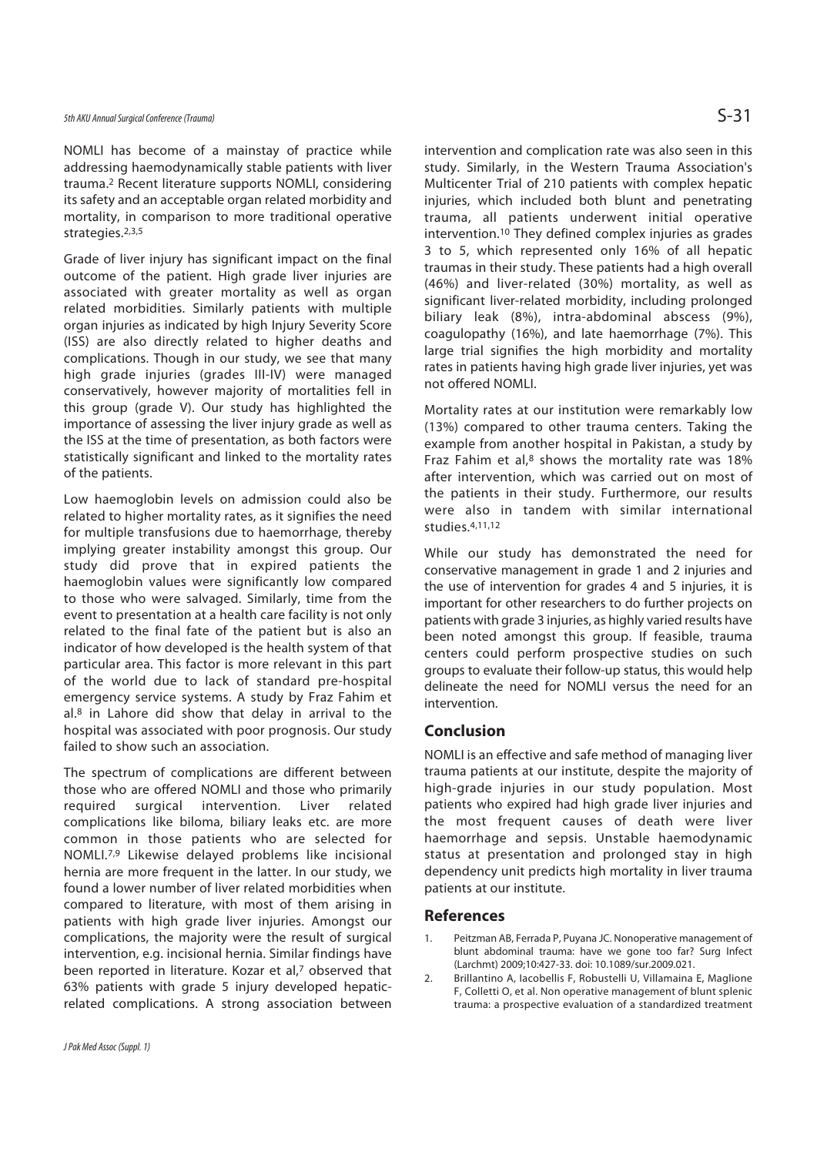NOMLI has become of a mainstay of practice while addressing haemodynamically stable patients with liver trauma.2 Recent literature supports NOMLI, considering its safety and an acceptable organ related morbidity and mortality, in comparison to more traditional operative strategies.2,3,5

Grade of liver injury has significant impact on the final outcome of the patient. High grade liver injuries are associated with greater mortality as well as organ related morbidities. Similarly patients with multiple organ injuries as indicated by high Injury Severity Score (ISS) are also directly related to higher deaths and complications. Though in our study, we see that many high grade injuries (grades III-IV) were managed conservatively, however majority of mortalities fell in this group (grade V). Our study has highlighted the importance of assessing the liver injury grade as well as the ISS at the time of presentation, as both factors were statistically significant and linked to the mortality rates of the patients.

Low haemoglobin levels on admission could also be related to higher mortality rates, as it signifies the need for multiple transfusions due to haemorrhage, thereby implying greater instability amongst this group. Our study did prove that in expired patients the haemoglobin values were significantly low compared to those who were salvaged. Similarly, time from the event to presentation at a health care facility is not only related to the final fate of the patient but is also an indicator of how developed is the health system of that particular area. This factor is more relevant in this part of the world due to lack of standard pre-hospital emergency service systems. A study by Fraz Fahim et al.8 in Lahore did show that delay in arrival to the hospital was associated with poor prognosis. Our study failed to show such an association.

The spectrum of complications are different between those who are offered NOMLI and those who primarily required surgical intervention. Liver related complications like biloma, biliary leaks etc. are more common in those patients who are selected for NOMLI.7,9 Likewise delayed problems like incisional hernia are more frequent in the latter. In our study, we found a lower number of liver related morbidities when compared to literature, with most of them arising in patients with high grade liver injuries. Amongst our complications, the majority were the result of surgical intervention, e.g. incisional hernia. Similar findings have been reported in literature. Kozar et al,7 observed that 63% patients with grade 5 injury developed hepaticrelated complications. A strong association between

intervention and complication rate was also seen in this study. Similarly, in the Western Trauma Association's Multicenter Trial of 210 patients with complex hepatic injuries, which included both blunt and penetrating trauma, all patients underwent initial operative intervention.10 They defined complex injuries as grades

3 to 5, which represented only 16% of all hepatic traumas in their study. These patients had a high overall (46%) and liver-related (30%) mortality, as well as significant liver-related morbidity, including prolonged biliary leak (8%), intra-abdominal abscess (9%), coagulopathy (16%), and late haemorrhage (7%). This large trial signifies the high morbidity and mortality rates in patients having high grade liver injuries, yet was not offered NOMLI.

Mortality rates at our institution were remarkably low (13%) compared to other trauma centers. Taking the example from another hospital in Pakistan, a study by Fraz Fahim et al, $8$  shows the mortality rate was 18% after intervention, which was carried out on most of the patients in their study. Furthermore, our results were also in tandem with similar international studies.4,11,12

While our study has demonstrated the need for conservative management in grade 1 and 2 injuries and the use of intervention for grades 4 and 5 injuries, it is important for other researchers to do further projects on patients with grade 3 injuries, as highly varied results have been noted amongst this group. If feasible, trauma centers could perform prospective studies on such groups to evaluate their follow-up status, this would help delineate the need for NOMLI versus the need for an intervention.

### **Conclusion**

NOMLI is an effective and safe method of managing liver trauma patients at our institute, despite the majority of high-grade injuries in our study population. Most patients who expired had high grade liver injuries and the most frequent causes of death were liver haemorrhage and sepsis. Unstable haemodynamic status at presentation and prolonged stay in high dependency unit predicts high mortality in liver trauma patients at our institute.

#### **References**

- 1. Peitzman AB, Ferrada P, Puyana JC. Nonoperative management of blunt abdominal trauma: have we gone too far? Surg Infect (Larchmt) 2009;10:427-33. doi: 10.1089/sur.2009.021.
- 2. Brillantino A, Iacobellis F, Robustelli U, Villamaina E, Maglione F, Colletti O, et al. Non operative management of blunt splenic trauma: a prospective evaluation of a standardized treatment